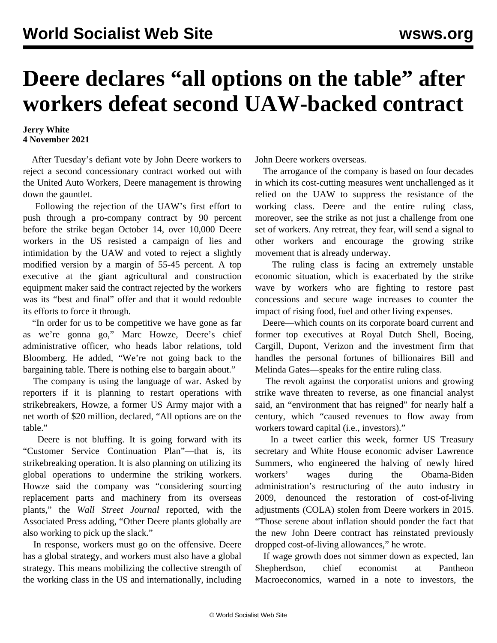## **Deere declares "all options on the table" after workers defeat second UAW-backed contract**

## **Jerry White 4 November 2021**

 After Tuesday's defiant vote by John Deere workers to reject a second concessionary contract worked out with the United Auto Workers, Deere management is throwing down the gauntlet.

 Following the rejection of the UAW's first effort to push through a pro-company contract by 90 percent before the strike began October 14, over 10,000 Deere workers in the US resisted a campaign of lies and intimidation by the UAW and voted to reject a slightly modified version by a margin of 55-45 percent. A top executive at the giant agricultural and construction equipment maker said the contract rejected by the workers was its "best and final" offer and that it would redouble its efforts to force it through.

 "In order for us to be competitive we have gone as far as we're gonna go," Marc Howze, Deere's chief administrative officer, who heads labor relations, told Bloomberg. He added, "We're not going back to the bargaining table. There is nothing else to bargain about."

 The company is using the language of war. Asked by reporters if it is planning to restart operations with strikebreakers, Howze, a former US Army major with a net worth of \$20 million, declared, "All options are on the table."

 Deere is not bluffing. It is going forward with its "Customer Service Continuation Plan"—that is, its strikebreaking operation. It is also planning on utilizing its global operations to undermine the striking workers. Howze said the company was "considering sourcing replacement parts and machinery from its overseas plants," the *Wall Street Journal* reported, with the Associated Press adding, "Other Deere plants globally are also working to pick up the slack."

 In response, workers must go on the offensive. Deere has a global strategy, and workers must also have a global strategy. This means mobilizing the collective strength of the working class in the US and internationally, including

John Deere workers overseas.

 The arrogance of the company is based on four decades in which its cost-cutting measures went unchallenged as it relied on the UAW to suppress the resistance of the working class. Deere and the entire ruling class, moreover, see the strike as not just a challenge from one set of workers. Any retreat, they fear, will send a signal to other workers and encourage the growing strike movement that is already underway.

 The ruling class is facing an extremely unstable economic situation, which is exacerbated by the strike wave by workers who are fighting to restore past concessions and secure wage increases to counter the impact of rising food, fuel and other living expenses.

 Deere—which counts on its corporate board current and former top executives at Royal Dutch Shell, Boeing, Cargill, Dupont, Verizon and the investment firm that handles the personal fortunes of billionaires Bill and Melinda Gates—speaks for the entire ruling class.

 The revolt against the corporatist unions and growing strike wave threaten to reverse, as one financial analyst said, an "environment that has reigned" for nearly half a century, which "caused revenues to flow away from workers toward capital (i.e., investors)."

 In a tweet earlier this week, former US Treasury secretary and White House economic adviser Lawrence Summers, who engineered the halving of newly hired workers' wages during the Obama-Biden administration's restructuring of the auto industry in 2009, denounced the restoration of cost-of-living adjustments (COLA) stolen from Deere workers in 2015. "Those serene about inflation should ponder the fact that the new John Deere contract has reinstated previously dropped cost-of-living allowances," he wrote.

 If wage growth does not simmer down as expected, Ian Shepherdson, chief economist at Pantheon Macroeconomics, warned in a note to investors, the